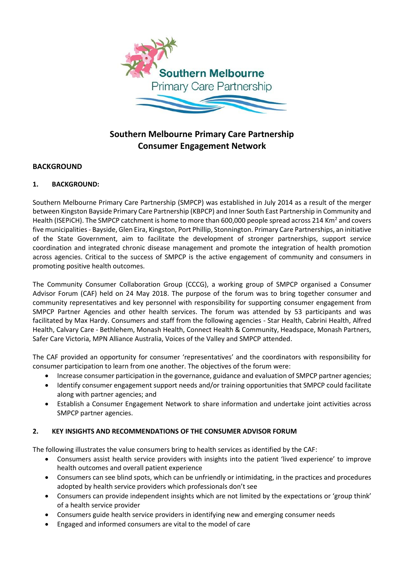

# **Southern Melbourne Primary Care Partnership Consumer Engagement Network**

# **BACKGROUND**

### **1. BACKGROUND:**

Southern Melbourne Primary Care Partnership (SMPCP) was established in July 2014 as a result of the merger between Kingston Bayside Primary Care Partnership (KBPCP) and Inner South East Partnership in Community and Health (ISEPICH). The SMPCP catchment is home to more than 600,000 people spread across 214 Km<sup>2</sup> and covers five municipalities - Bayside, Glen Eira, Kingston, Port Phillip, Stonnington. Primary Care Partnerships, an initiative of the State Government, aim to facilitate the development of stronger partnerships, support service coordination and integrated chronic disease management and promote the integration of health promotion across agencies. Critical to the success of SMPCP is the active engagement of community and consumers in promoting positive health outcomes.

The Community Consumer Collaboration Group (CCCG), a working group of SMPCP organised a Consumer Advisor Forum (CAF) held on 24 May 2018. The purpose of the forum was to bring together consumer and community representatives and key personnel with responsibility for supporting consumer engagement from SMPCP Partner Agencies and other health services. The forum was attended by 53 participants and was facilitated by Max Hardy. Consumers and staff from the following agencies - Star Health, Cabrini Health, Alfred Health, Calvary Care - Bethlehem, Monash Health, Connect Health & Community, Headspace, Monash Partners, Safer Care Victoria, MPN Alliance Australia, Voices of the Valley and SMPCP attended.

The CAF provided an opportunity for consumer 'representatives' and the coordinators with responsibility for consumer participation to learn from one another. The objectives of the forum were:

- Increase consumer participation in the governance, guidance and evaluation of SMPCP partner agencies;
- Identify consumer engagement support needs and/or training opportunities that SMPCP could facilitate along with partner agencies; and
- Establish a Consumer Engagement Network to share information and undertake joint activities across SMPCP partner agencies.

# **2. KEY INSIGHTS AND RECOMMENDATIONS OF THE CONSUMER ADVISOR FORUM**

The following illustrates the value consumers bring to health services as identified by the CAF:

- Consumers assist health service providers with insights into the patient 'lived experience' to improve health outcomes and overall patient experience
- Consumers can see blind spots, which can be unfriendly or intimidating, in the practices and procedures adopted by health service providers which professionals don't see
- Consumers can provide independent insights which are not limited by the expectations or 'group think' of a health service provider
- Consumers guide health service providers in identifying new and emerging consumer needs
- Engaged and informed consumers are vital to the model of care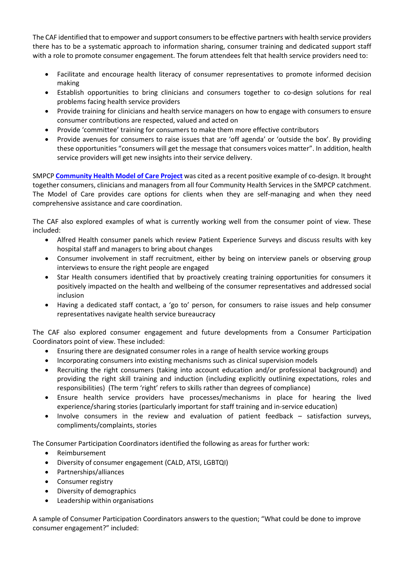The CAF identified that to empower and support consumers to be effective partners with health service providers there has to be a systematic approach to information sharing, consumer training and dedicated support staff with a role to promote consumer engagement. The forum attendees felt that health service providers need to:

- Facilitate and encourage health literacy of consumer representatives to promote informed decision making
- Establish opportunities to bring clinicians and consumers together to co-design solutions for real problems facing health service providers
- Provide training for clinicians and health service managers on how to engage with consumers to ensure consumer contributions are respected, valued and acted on
- Provide 'committee' training for consumers to make them more effective contributors
- Provide avenues for consumers to raise issues that are 'off agenda' or 'outside the box'. By providing these opportunities "consumers will get the message that consumers voices matter". In addition, health service providers will get new insights into their service delivery.

SMPCP **[Community Health Model of Care Project](http://smpcp.org.au/index.php/news/467-model-of-care)** was cited as a recent positive example of co-design. It brought together consumers, clinicians and managers from all four Community Health Services in the SMPCP catchment. The Model of Care provides care options for clients when they are self-managing and when they need comprehensive assistance and care coordination.

The CAF also explored examples of what is currently working well from the consumer point of view. These included:

- Alfred Health consumer panels which review Patient Experience Surveys and discuss results with key hospital staff and managers to bring about changes
- Consumer involvement in staff recruitment, either by being on interview panels or observing group interviews to ensure the right people are engaged
- Star Health consumers identified that by proactively creating training opportunities for consumers it positively impacted on the health and wellbeing of the consumer representatives and addressed social inclusion
- Having a dedicated staff contact, a 'go to' person, for consumers to raise issues and help consumer representatives navigate health service bureaucracy

The CAF also explored consumer engagement and future developments from a Consumer Participation Coordinators point of view. These included:

- Ensuring there are designated consumer roles in a range of health service working groups
- Incorporating consumers into existing mechanisms such as clinical supervision models
- Recruiting the right consumers (taking into account education and/or professional background) and providing the right skill training and induction (including explicitly outlining expectations, roles and responsibilities) (The term 'right' refers to skills rather than degrees of compliance)
- Ensure health service providers have processes/mechanisms in place for hearing the lived experience/sharing stories (particularly important for staff training and in-service education)
- Involve consumers in the review and evaluation of patient feedback satisfaction surveys, compliments/complaints, stories

The Consumer Participation Coordinators identified the following as areas for further work:

- Reimbursement
- Diversity of consumer engagement (CALD, ATSI, LGBTQI)
- Partnerships/alliances
- Consumer registry
- Diversity of demographics
- Leadership within organisations

A sample of Consumer Participation Coordinators answers to the question; "What could be done to improve consumer engagement?" included: